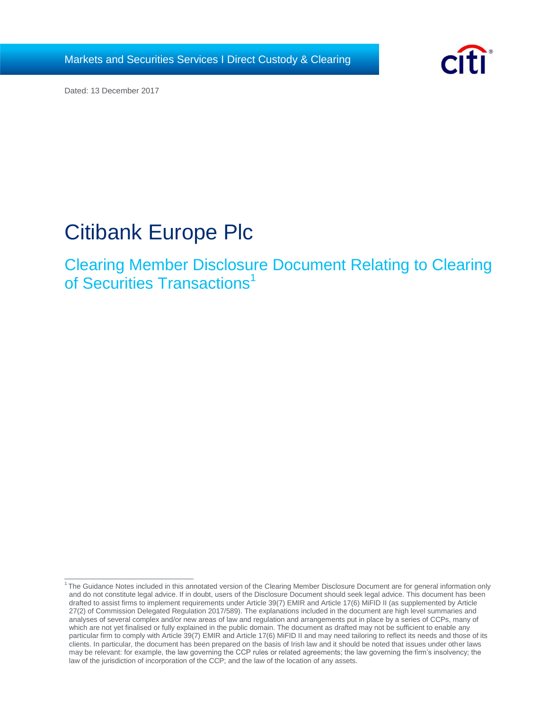Markets and Securities Services I Direct Custody & Clearing



Dated: 13 December 2017

# Citibank Europe Plc

Clearing Member Disclosure Document Relating to Clearing of Securities Transactions<sup>1</sup>

<sup>&</sup>lt;sup>1</sup>The Guidance Notes included in this annotated version of the Clearing Member Disclosure Document are for general information only and do not constitute legal advice. If in doubt, users of the Disclosure Document should seek legal advice. This document has been drafted to assist firms to implement requirements under Article 39(7) EMIR and Article 17(6) MiFID II (as supplemented by Article 27(2) of Commission Delegated Regulation 2017/589). The explanations included in the document are high level summaries and analyses of several complex and/or new areas of law and regulation and arrangements put in place by a series of CCPs, many of which are not yet finalised or fully explained in the public domain. The document as drafted may not be sufficient to enable any particular firm to comply with Article 39(7) EMIR and Article 17(6) MiFID II and may need tailoring to reflect its needs and those of its clients. In particular, the document has been prepared on the basis of Irish law and it should be noted that issues under other laws may be relevant: for example, the law governing the CCP rules or related agreements; the law governing the firm's insolvency; the law of the jurisdiction of incorporation of the CCP; and the law of the location of any assets.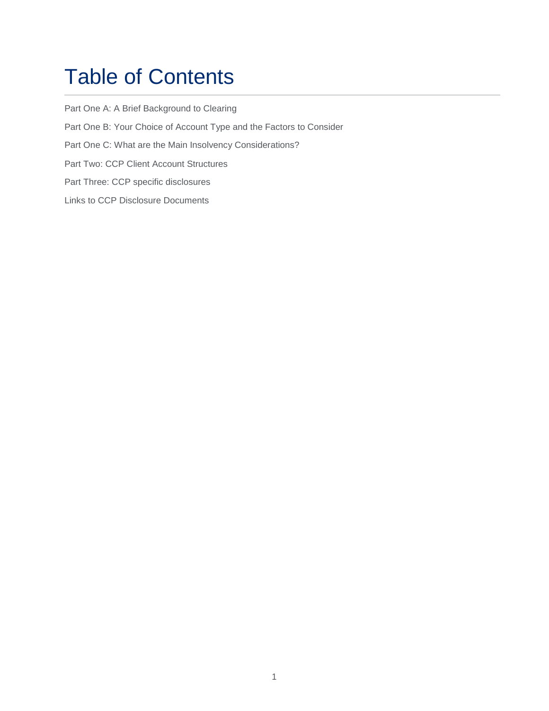# Table of Contents

[Part One A: A Brief Background to Clearing](#page-4-0) [Part One B: Your Choice of Account Type and the Factors to Consider](#page-8-0) [Part One C: What are the Main Insolvency Considerations?](#page-14-0) [Part Two: CCP Client Account Structures](#page-18-0) [Part Three: CCP specific disclosures](#page-22-0) [Links to CCP Disclosure Documents](#page-24-0)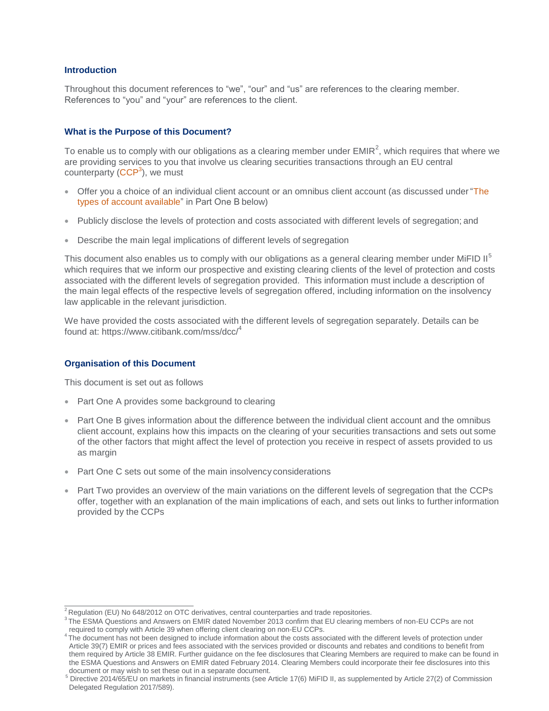# **Introduction**

Throughout this document references to "we", "our" and "us" are references to the clearing member. References to "you" and "your" are references to the client.

#### **What is the Purpose of this Document?**

To enable us to comply with our obligations as a clearing member under EMIR<sup>2</sup>, which requires that where we are providing services to you that involve us clearing securities transactions through an EU central counterparty (CCP<sup>3</sup>), we must

- Offer you a choice of an individual client account or an omnibus client account (as discussed under "The types of account available" in Part One B below)
- Publicly disclose the levels of protection and costs associated with different levels of segregation; and
- Describe the main legal implications of different levels of segregation

This document also enables us to comply with our obligations as a general clearing member under MiFID II<sup>5</sup> which requires that we inform our prospective and existing clearing clients of the level of protection and costs associated with the different levels of segregation provided. This information must include a description of the main legal effects of the respective levels of segregation offered, including information on the insolvency law applicable in the relevant jurisdiction.

We have provided the costs associated with the different levels of segregation separately. Details can be found at: https:/[/www.citibank.com/mss/dcc/](http://www.citibank.com/mss/dcc/4)<sup>4</sup>

# **Organisation of this Document**

This document is set out as follows

- Part One A provides some background to clearing
- Part One B gives information about the difference between the individual client account and the omnibus client account, explains how this impacts on the clearing of your securities transactions and sets out some of the other factors that might affect the level of protection you receive in respect of assets provided to us as margin
- Part One C sets out some of the main insolvency considerations
- Part Two provides an overview of the main variations on the different levels of segregation that the CCPs offer, together with an explanation of the main implications of each, and sets out links to further information provided by the CCPs

 $\sqrt[2]{2}$ Regulation (EU) No 648/2012 on OTC derivatives, central counterparties and trade repositories.

<sup>&</sup>lt;sup>3</sup>The ESMA Questions and Answers on EMIR dated November 2013 confirm that EU clearing members of non-EU CCPs are not required to comply with Article 39 when offering client clearing on non-EU CCPs.

<sup>&</sup>lt;sup>4</sup>The document has not been designed to include information about the costs associated with the different levels of protection under Article 39(7) EMIR or prices and fees associated with the services provided or discounts and rebates and conditions to benefit from them required by Article 38 EMIR. Further guidance on the fee disclosures that Clearing Members are required to make can be found in the ESMA Questions and Answers on EMIR dated February 2014. Clearing Members could incorporate their fee disclosures into this document or may wish to set these out in a separate document.

 $^5$  Directive 2014/65/EU on markets in financial instruments (see Article 17(6) MiFID II, as supplemented by Article 27(2) of Commission Delegated Regulation 2017/589).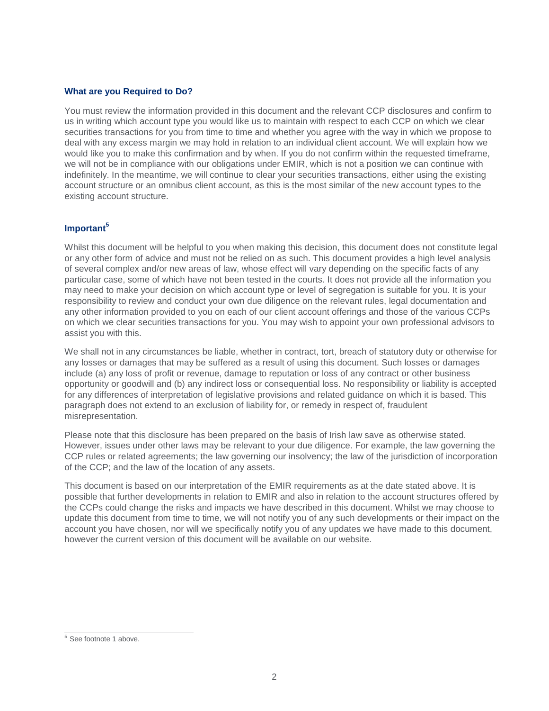# **What are you Required to Do?**

You must review the information provided in this document and the relevant CCP disclosures and confirm to us in writing which account type you would like us to maintain with respect to each CCP on which we clear securities transactions for you from time to time and whether you agree with the way in which we propose to deal with any excess margin we may hold in relation to an individual client account. We will explain how we would like you to make this confirmation and by when. If you do not confirm within the requested timeframe, we will not be in compliance with our obligations under EMIR, which is not a position we can continue with indefinitely. In the meantime, we will continue to clear your securities transactions, either using the existing account structure or an omnibus client account, as this is the most similar of the new account types to the existing account structure.

# **Important<sup>5</sup>**

Whilst this document will be helpful to you when making this decision, this document does not constitute legal or any other form of advice and must not be relied on as such. This document provides a high level analysis of several complex and/or new areas of law, whose effect will vary depending on the specific facts of any particular case, some of which have not been tested in the courts. It does not provide all the information you may need to make your decision on which account type or level of segregation is suitable for you. It is your responsibility to review and conduct your own due diligence on the relevant rules, legal documentation and any other information provided to you on each of our client account offerings and those of the various CCPs on which we clear securities transactions for you. You may wish to appoint your own professional advisors to assist you with this.

We shall not in any circumstances be liable, whether in contract, tort, breach of statutory duty or otherwise for any losses or damages that may be suffered as a result of using this document. Such losses or damages include (a) any loss of profit or revenue, damage to reputation or loss of any contract or other business opportunity or goodwill and (b) any indirect loss or consequential loss. No responsibility or liability is accepted for any differences of interpretation of legislative provisions and related guidance on which it is based. This paragraph does not extend to an exclusion of liability for, or remedy in respect of, fraudulent misrepresentation.

Please note that this disclosure has been prepared on the basis of Irish law save as otherwise stated. However, issues under other laws may be relevant to your due diligence. For example, the law governing the CCP rules or related agreements; the law governing our insolvency; the law of the jurisdiction of incorporation of the CCP; and the law of the location of any assets.

This document is based on our interpretation of the EMIR requirements as at the date stated above. It is possible that further developments in relation to EMIR and also in relation to the account structures offered by the CCPs could change the risks and impacts we have described in this document. Whilst we may choose to update this document from time to time, we will not notify you of any such developments or their impact on the account you have chosen, nor will we specifically notify you of any updates we have made to this document, however the current version of this document will be available on our website.

<sup>&</sup>lt;sup>5</sup> See footnote 1 above.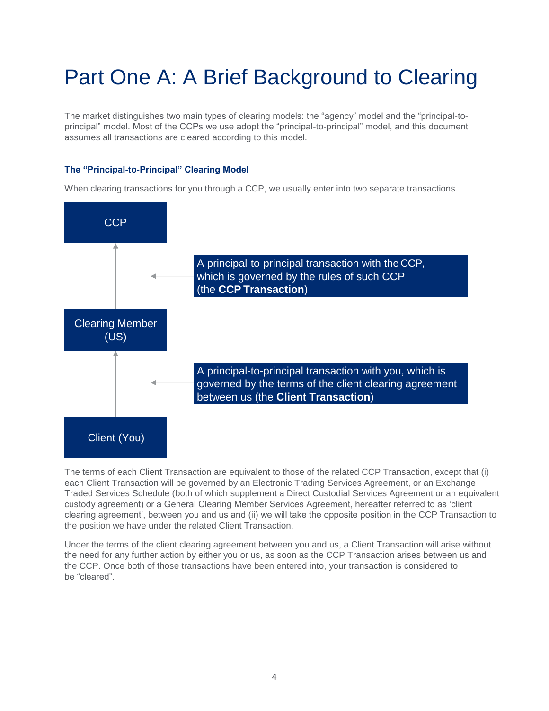# <span id="page-4-0"></span>Part One A: A Brief Background to Clearing

The market distinguishes two main types of clearing models: the "agency" model and the "principal-toprincipal" model. Most of the CCPs we use adopt the "principal-to-principal" model, and this document assumes all transactions are cleared according to this model.

# **The "Principal-to-Principal" Clearing Model**

When clearing transactions for you through a CCP, we usually enter into two separate transactions.



The terms of each Client Transaction are equivalent to those of the related CCP Transaction, except that (i) each Client Transaction will be governed by an Electronic Trading Services Agreement, or an Exchange Traded Services Schedule (both of which supplement a Direct Custodial Services Agreement or an equivalent custody agreement) or a General Clearing Member Services Agreement, hereafter referred to as 'client clearing agreement', between you and us and (ii) we will take the opposite position in the CCP Transaction to the position we have under the related Client Transaction.

Under the terms of the client clearing agreement between you and us, a Client Transaction will arise without the need for any further action by either you or us, as soon as the CCP Transaction arises between us and the CCP. Once both of those transactions have been entered into, your transaction is considered to be "cleared".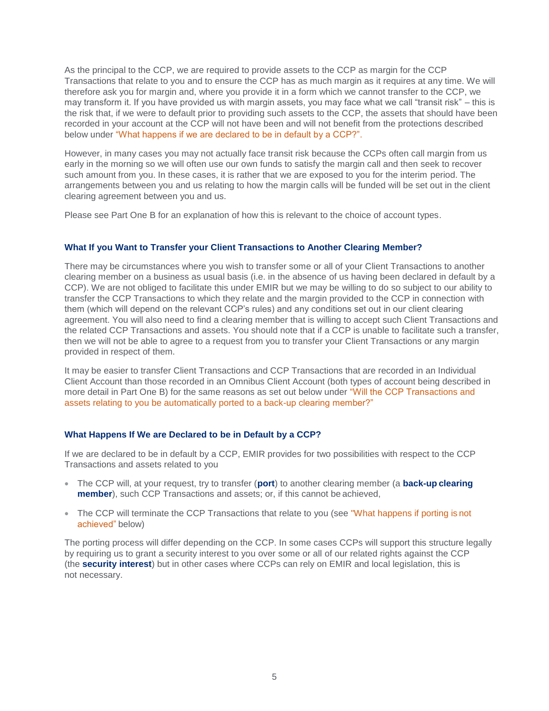As the principal to the CCP, we are required to provide assets to the CCP as margin for the CCP Transactions that relate to you and to ensure the CCP has as much margin as it requires at any time. We will therefore ask you for margin and, where you provide it in a form which we cannot transfer to the CCP, we may transform it. If you have provided us with margin assets, you may face what we call "transit risk" – this is the risk that, if we were to default prior to providing such assets to the CCP, the assets that should have been recorded in your account at the CCP will not have been and will not benefit from the protections described below under "What happens if we are declared to be in default by a CCP?".

However, in many cases you may not actually face transit risk because the CCPs often call margin from us early in the morning so we will often use our own funds to satisfy the margin call and then seek to recover such amount from you. In these cases, it is rather that we are exposed to you for the interim period. The arrangements between you and us relating to how the margin calls will be funded will be set out in the client clearing agreement between you and us.

Please see Part One B for an explanation of how this is relevant to the choice of account types.

# **What If you Want to Transfer your Client Transactions to Another Clearing Member?**

There may be circumstances where you wish to transfer some or all of your Client Transactions to another clearing member on a business as usual basis (i.e. in the absence of us having been declared in default by a CCP). We are not obliged to facilitate this under EMIR but we may be willing to do so subject to our ability to transfer the CCP Transactions to which they relate and the margin provided to the CCP in connection with them (which will depend on the relevant CCP's rules) and any conditions set out in our client clearing agreement. You will also need to find a clearing member that is willing to accept such Client Transactions and the related CCP Transactions and assets. You should note that if a CCP is unable to facilitate such a transfer, then we will not be able to agree to a request from you to transfer your Client Transactions or any margin provided in respect of them.

It may be easier to transfer Client Transactions and CCP Transactions that are recorded in an Individual Client Account than those recorded in an Omnibus Client Account (both types of account being described in more detail in Part One B) for the same reasons as set out below under "Will the CCP Transactions and assets relating to you be automatically ported to a back-up clearing member?"

# **What Happens If We are Declared to be in Default by a CCP?**

If we are declared to be in default by a CCP, EMIR provides for two possibilities with respect to the CCP Transactions and assets related to you

- The CCP will, at your request, try to transfer (**port**) to another clearing member (a **back-up clearing member**), such CCP Transactions and assets; or, if this cannot be achieved,
- The CCP will terminate the CCP Transactions that relate to you (see "What happens if porting is not achieved" below)

The porting process will differ depending on the CCP. In some cases CCPs will support this structure legally by requiring us to grant a security interest to you over some or all of our related rights against the CCP (the **security interest**) but in other cases where CCPs can rely on EMIR and local legislation, this is not necessary.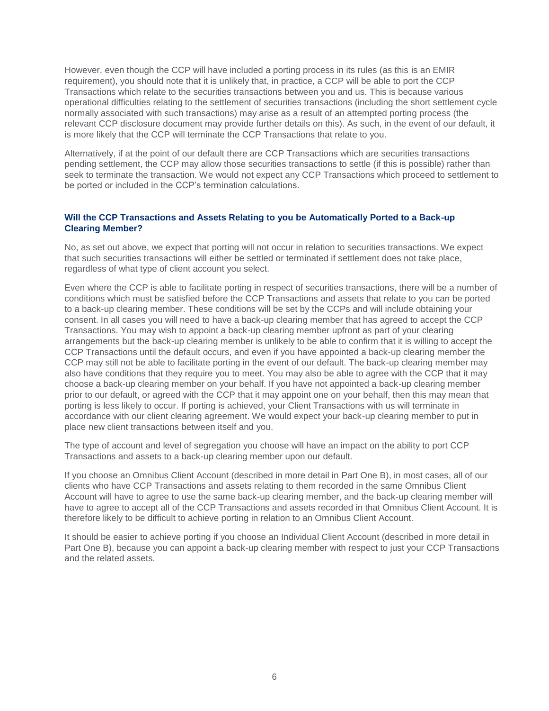However, even though the CCP will have included a porting process in its rules (as this is an EMIR requirement), you should note that it is unlikely that, in practice, a CCP will be able to port the CCP Transactions which relate to the securities transactions between you and us. This is because various operational difficulties relating to the settlement of securities transactions (including the short settlement cycle normally associated with such transactions) may arise as a result of an attempted porting process (the relevant CCP disclosure document may provide further details on this). As such, in the event of our default, it is more likely that the CCP will terminate the CCP Transactions that relate to you.

Alternatively, if at the point of our default there are CCP Transactions which are securities transactions pending settlement, the CCP may allow those securities transactions to settle (if this is possible) rather than seek to terminate the transaction. We would not expect any CCP Transactions which proceed to settlement to be ported or included in the CCP's termination calculations.

# **Will the CCP Transactions and Assets Relating to you be Automatically Ported to a Back-up Clearing Member?**

No, as set out above, we expect that porting will not occur in relation to securities transactions. We expect that such securities transactions will either be settled or terminated if settlement does not take place, regardless of what type of client account you select.

Even where the CCP is able to facilitate porting in respect of securities transactions, there will be a number of conditions which must be satisfied before the CCP Transactions and assets that relate to you can be ported to a back-up clearing member. These conditions will be set by the CCPs and will include obtaining your consent. In all cases you will need to have a back-up clearing member that has agreed to accept the CCP Transactions. You may wish to appoint a back-up clearing member upfront as part of your clearing arrangements but the back-up clearing member is unlikely to be able to confirm that it is willing to accept the CCP Transactions until the default occurs, and even if you have appointed a back-up clearing member the CCP may still not be able to facilitate porting in the event of our default. The back-up clearing member may also have conditions that they require you to meet. You may also be able to agree with the CCP that it may choose a back-up clearing member on your behalf. If you have not appointed a back-up clearing member prior to our default, or agreed with the CCP that it may appoint one on your behalf, then this may mean that porting is less likely to occur. If porting is achieved, your Client Transactions with us will terminate in accordance with our client clearing agreement. We would expect your back-up clearing member to put in place new client transactions between itself and you.

The type of account and level of segregation you choose will have an impact on the ability to port CCP Transactions and assets to a back-up clearing member upon our default.

If you choose an Omnibus Client Account (described in more detail in Part One B), in most cases, all of our clients who have CCP Transactions and assets relating to them recorded in the same Omnibus Client Account will have to agree to use the same back-up clearing member, and the back-up clearing member will have to agree to accept all of the CCP Transactions and assets recorded in that Omnibus Client Account. It is therefore likely to be difficult to achieve porting in relation to an Omnibus Client Account.

It should be easier to achieve porting if you choose an Individual Client Account (described in more detail in Part One B), because you can appoint a back-up clearing member with respect to just your CCP Transactions and the related assets.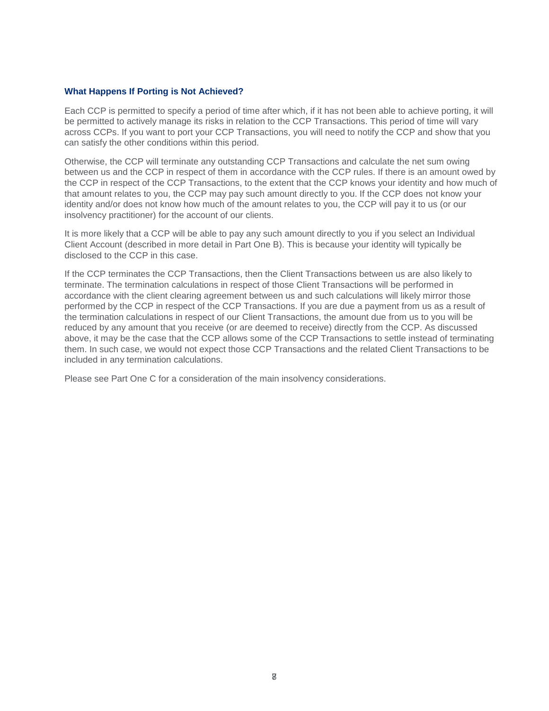# **What Happens If Porting is Not Achieved?**

Each CCP is permitted to specify a period of time after which, if it has not been able to achieve porting, it will be permitted to actively manage its risks in relation to the CCP Transactions. This period of time will vary across CCPs. If you want to port your CCP Transactions, you will need to notify the CCP and show that you can satisfy the other conditions within this period.

Otherwise, the CCP will terminate any outstanding CCP Transactions and calculate the net sum owing between us and the CCP in respect of them in accordance with the CCP rules. If there is an amount owed by the CCP in respect of the CCP Transactions, to the extent that the CCP knows your identity and how much of that amount relates to you, the CCP may pay such amount directly to you. If the CCP does not know your identity and/or does not know how much of the amount relates to you, the CCP will pay it to us (or our insolvency practitioner) for the account of our clients.

It is more likely that a CCP will be able to pay any such amount directly to you if you select an Individual Client Account (described in more detail in Part One B). This is because your identity will typically be disclosed to the CCP in this case.

If the CCP terminates the CCP Transactions, then the Client Transactions between us are also likely to terminate. The termination calculations in respect of those Client Transactions will be performed in accordance with the client clearing agreement between us and such calculations will likely mirror those performed by the CCP in respect of the CCP Transactions. If you are due a payment from us as a result of the termination calculations in respect of our Client Transactions, the amount due from us to you will be reduced by any amount that you receive (or are deemed to receive) directly from the CCP. As discussed above, it may be the case that the CCP allows some of the CCP Transactions to settle instead of terminating them. In such case, we would not expect those CCP Transactions and the related Client Transactions to be included in any termination calculations.

Please see Part One C for a consideration of the main insolvency considerations.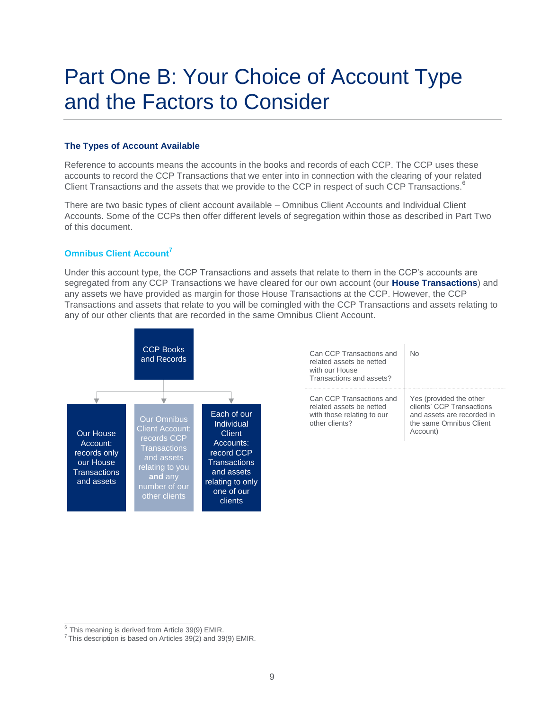# <span id="page-8-0"></span>Part One B: Your Choice of Account Type and the Factors to Consider

# **The Types of Account Available**

Reference to accounts means the accounts in the books and records of each CCP. The CCP uses these accounts to record the CCP Transactions that we enter into in connection with the clearing of your related Client Transactions and the assets that we provide to the CCP in respect of such CCP Transactions.<sup>6</sup>

There are two basic types of client account available – Omnibus Client Accounts and Individual Client Accounts. Some of the CCPs then offer different levels of segregation within those as described in Part Two of this document.

# **Omnibus Client Account<sup>7</sup>**

Under this account type, the CCP Transactions and assets that relate to them in the CCP's accounts are segregated from any CCP Transactions we have cleared for our own account (our **House Transactions**) and any assets we have provided as margin for those House Transactions at the CCP. However, the CCP Transactions and assets that relate to you will be comingled with the CCP Transactions and assets relating to any of our other clients that are recorded in the same Omnibus Client Account.



| Can CCP Transactions and<br>related assets be netted<br>with our House<br>Transactions and assets?   | N٥                                                                                                                        |
|------------------------------------------------------------------------------------------------------|---------------------------------------------------------------------------------------------------------------------------|
| Can CCP Transactions and<br>related assets be netted<br>with those relating to our<br>other clients? | Yes (provided the other<br>clients' CCP Transactions<br>and assets are recorded in<br>the same Omnibus Client<br>Account) |

 $6$  This meaning is derived from Article 39(9) EMIR.

 $7$ This description is based on Articles 39(2) and 39(9) EMIR.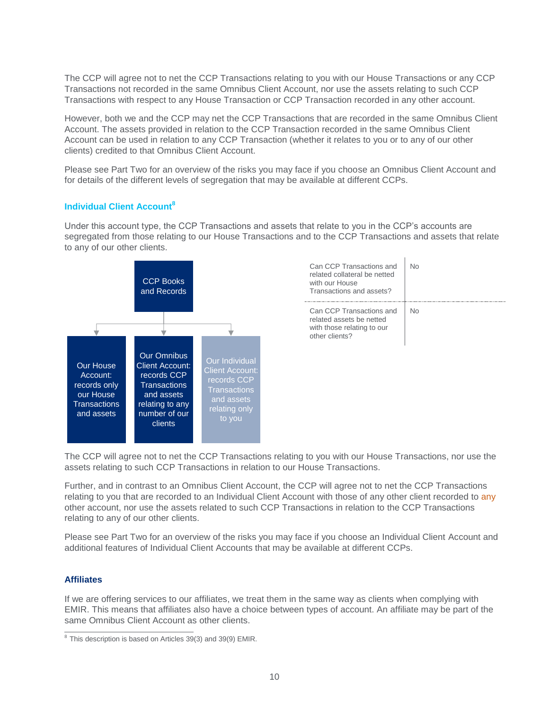The CCP will agree not to net the CCP Transactions relating to you with our House Transactions or any CCP Transactions not recorded in the same Omnibus Client Account, nor use the assets relating to such CCP Transactions with respect to any House Transaction or CCP Transaction recorded in any other account.

However, both we and the CCP may net the CCP Transactions that are recorded in the same Omnibus Client Account. The assets provided in relation to the CCP Transaction recorded in the same Omnibus Client Account can be used in relation to any CCP Transaction (whether it relates to you or to any of our other clients) credited to that Omnibus Client Account.

Please see Part Two for an overview of the risks you may face if you choose an Omnibus Client Account and for details of the different levels of segregation that may be available at different CCPs.

# **Individual Client Account<sup>8</sup>**

Under this account type, the CCP Transactions and assets that relate to you in the CCP's accounts are segregated from those relating to our House Transactions and to the CCP Transactions and assets that relate to any of our other clients.



| Can CCP Transactions and<br>related collateral be netted<br>with our House<br>Transactions and assets? | N٥ |
|--------------------------------------------------------------------------------------------------------|----|
| Can CCP Transactions and<br>related assets be netted<br>with those relating to our<br>other clients?   | N٥ |

The CCP will agree not to net the CCP Transactions relating to you with our House Transactions, nor use the assets relating to such CCP Transactions in relation to our House Transactions.

Further, and in contrast to an Omnibus Client Account, the CCP will agree not to net the CCP Transactions relating to you that are recorded to an Individual Client Account with those of any other client recorded to any other account, nor use the assets related to such CCP Transactions in relation to the CCP Transactions relating to any of our other clients.

Please see Part Two for an overview of the risks you may face if you choose an Individual Client Account and additional features of Individual Client Accounts that may be available at different CCPs.

# **Affiliates**

If we are offering services to our affiliates, we treat them in the same way as clients when complying with EMIR. This means that affiliates also have a choice between types of account. An affiliate may be part of the same Omnibus Client Account as other clients.

 $8$  This description is based on Articles 39(3) and 39(9) EMIR.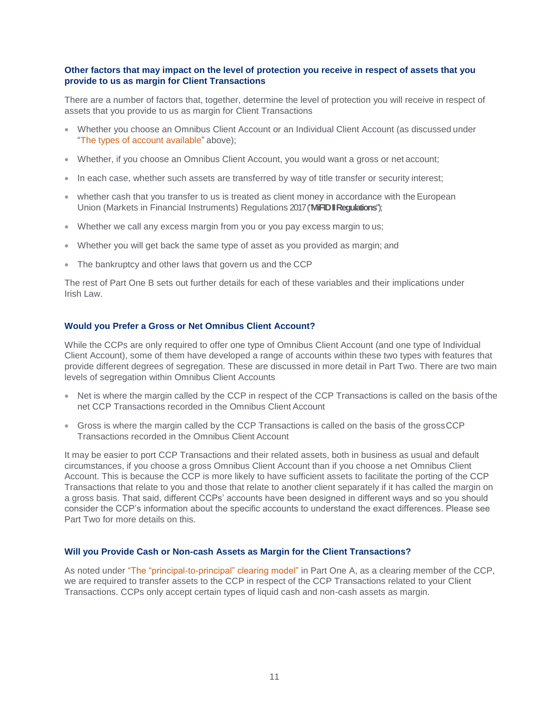# **Other factors that may impact on the level of protection you receive in respect of assets that you provide to us as margin for Client Transactions**

There are a number of factors that, together, determine the level of protection you will receive in respect of assets that you provide to us as margin for Client Transactions

- Whether you choose an Omnibus Client Account or an Individual Client Account (as discussed under "The types of account available" above);
- Whether, if you choose an Omnibus Client Account, you would want a gross or net account;
- In each case, whether such assets are transferred by way of title transfer or security interest;
- whether cash that you transfer to us is treated as client money in accordance with the European Union (Markets in Financial Instruments) Regulations 2017 ("**MiFID II Regulations**");
- Whether we call any excess margin from you or you pay excess margin to us;
- Whether you will get back the same type of asset as you provided as margin; and
- The bankruptcy and other laws that govern us and the CCP

The rest of Part One B sets out further details for each of these variables and their implications under Irish Law.

# **Would you Prefer a Gross or Net Omnibus Client Account?**

While the CCPs are only required to offer one type of Omnibus Client Account (and one type of Individual Client Account), some of them have developed a range of accounts within these two types with features that provide different degrees of segregation. These are discussed in more detail in Part Two. There are two main levels of segregation within Omnibus Client Accounts

- Net is where the margin called by the CCP in respect of the CCP Transactions is called on the basis of the net CCP Transactions recorded in the Omnibus Client Account
- Gross is where the margin called by the CCP Transactions is called on the basis of the grossCCP Transactions recorded in the Omnibus Client Account

It may be easier to port CCP Transactions and their related assets, both in business as usual and default circumstances, if you choose a gross Omnibus Client Account than if you choose a net Omnibus Client Account. This is because the CCP is more likely to have sufficient assets to facilitate the porting of the CCP Transactions that relate to you and those that relate to another client separately if it has called the margin on a gross basis. That said, different CCPs' accounts have been designed in different ways and so you should consider the CCP's information about the specific accounts to understand the exact differences. Please see Part Two for more details on this.

# **Will you Provide Cash or Non-cash Assets as Margin for the Client Transactions?**

As noted under "The "principal-to-principal" clearing model" in Part One A, as a clearing member of the CCP, we are required to transfer assets to the CCP in respect of the CCP Transactions related to your Client Transactions. CCPs only accept certain types of liquid cash and non-cash assets as margin.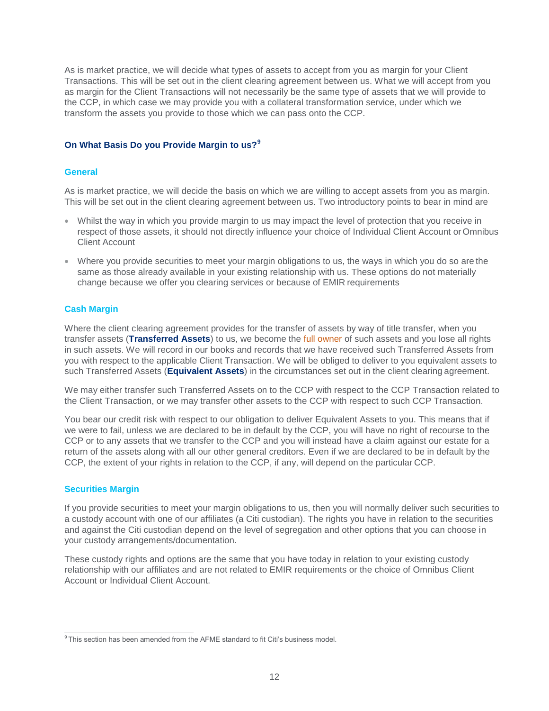As is market practice, we will decide what types of assets to accept from you as margin for your Client Transactions. This will be set out in the client clearing agreement between us. What we will accept from you as margin for the Client Transactions will not necessarily be the same type of assets that we will provide to the CCP, in which case we may provide you with a collateral transformation service, under which we transform the assets you provide to those which we can pass onto the CCP.

# **On What Basis Do you Provide Margin to us?<sup>9</sup>**

# **General**

As is market practice, we will decide the basis on which we are willing to accept assets from you as margin. This will be set out in the client clearing agreement between us. Two introductory points to bear in mind are

- Whilst the way in which you provide margin to us may impact the level of protection that you receive in respect of those assets, it should not directly influence your choice of Individual Client Account orOmnibus Client Account
- Where you provide securities to meet your margin obligations to us, the ways in which you do so are the same as those already available in your existing relationship with us. These options do not materially change because we offer you clearing services or because of EMIR requirements

# **Cash Margin**

Where the client clearing agreement provides for the transfer of assets by way of title transfer, when you transfer assets (**Transferred Assets**) to us, we become the full owner of such assets and you lose all rights in such assets. We will record in our books and records that we have received such Transferred Assets from you with respect to the applicable Client Transaction. We will be obliged to deliver to you equivalent assets to such Transferred Assets (**Equivalent Assets**) in the circumstances set out in the client clearing agreement.

We may either transfer such Transferred Assets on to the CCP with respect to the CCP Transaction related to the Client Transaction, or we may transfer other assets to the CCP with respect to such CCP Transaction.

You bear our credit risk with respect to our obligation to deliver Equivalent Assets to you. This means that if we were to fail, unless we are declared to be in default by the CCP, you will have no right of recourse to the CCP or to any assets that we transfer to the CCP and you will instead have a claim against our estate for a return of the assets along with all our other general creditors. Even if we are declared to be in default by the CCP, the extent of your rights in relation to the CCP, if any, will depend on the particular CCP.

# **Securities Margin**

If you provide securities to meet your margin obligations to us, then you will normally deliver such securities to a custody account with one of our affiliates (a Citi custodian). The rights you have in relation to the securities and against the Citi custodian depend on the level of segregation and other options that you can choose in your custody arrangements/documentation.

These custody rights and options are the same that you have today in relation to your existing custody relationship with our affiliates and are not related to EMIR requirements or the choice of Omnibus Client Account or Individual Client Account.

 $9$ This section has been amended from the AFME standard to fit Citi's business model.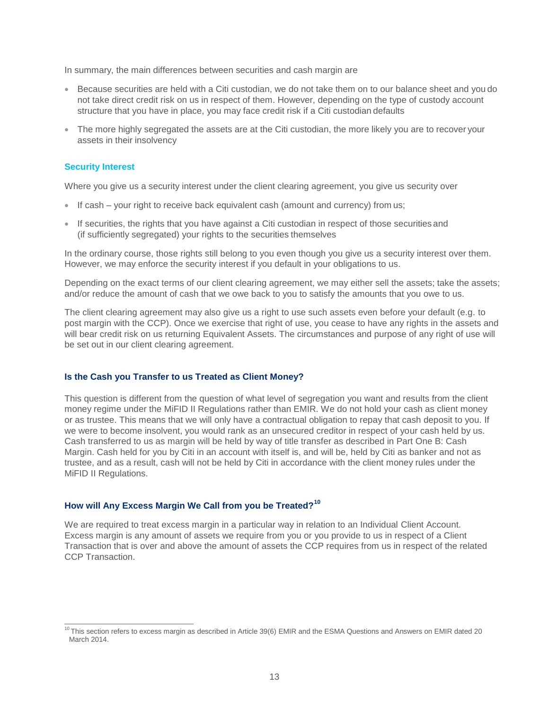In summary, the main differences between securities and cash margin are

- Because securities are held with a Citi custodian, we do not take them on to our balance sheet and you do not take direct credit risk on us in respect of them. However, depending on the type of custody account structure that you have in place, you may face credit risk if a Citi custodian defaults
- The more highly segregated the assets are at the Citi custodian, the more likely you are to recover your assets in their insolvency

#### **Security Interest**

Where you give us a security interest under the client clearing agreement, you give us security over

- If cash your right to receive back equivalent cash (amount and currency) from us;
- If securities, the rights that you have against a Citi custodian in respect of those securities and (if sufficiently segregated) your rights to the securities themselves

In the ordinary course, those rights still belong to you even though you give us a security interest over them. However, we may enforce the security interest if you default in your obligations to us.

Depending on the exact terms of our client clearing agreement, we may either sell the assets; take the assets; and/or reduce the amount of cash that we owe back to you to satisfy the amounts that you owe to us.

The client clearing agreement may also give us a right to use such assets even before your default (e.g. to post margin with the CCP). Once we exercise that right of use, you cease to have any rights in the assets and will bear credit risk on us returning Equivalent Assets. The circumstances and purpose of any right of use will be set out in our client clearing agreement.

# **Is the Cash you Transfer to us Treated as Client Money?**

This question is different from the question of what level of segregation you want and results from the client money regime under the MiFID II Regulations rather than EMIR. We do not hold your cash as client money or as trustee. This means that we will only have a contractual obligation to repay that cash deposit to you. If we were to become insolvent, you would rank as an unsecured creditor in respect of your cash held by us. Cash transferred to us as margin will be held by way of title transfer as described in Part One B: Cash Margin. Cash held for you by Citi in an account with itself is, and will be, held by Citi as banker and not as trustee, and as a result, cash will not be held by Citi in accordance with the client money rules under the MiFID II Regulations.

#### **How will Any Excess Margin We Call from you be Treated?<sup>10</sup>**

We are required to treat excess margin in a particular way in relation to an Individual Client Account. Excess margin is any amount of assets we require from you or you provide to us in respect of a Client Transaction that is over and above the amount of assets the CCP requires from us in respect of the related CCP Transaction.

 $10$ This section refers to excess margin as described in Article 39(6) EMIR and the ESMA Questions and Answers on EMIR dated 20 March 2014.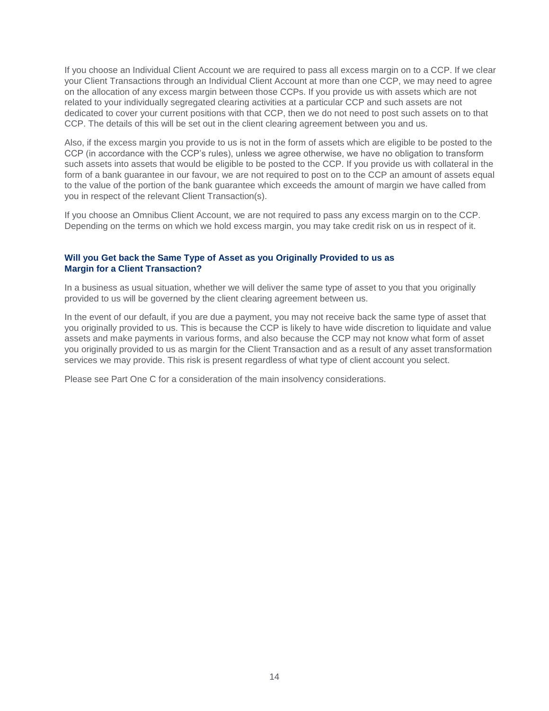If you choose an Individual Client Account we are required to pass all excess margin on to a CCP. If we clear your Client Transactions through an Individual Client Account at more than one CCP, we may need to agree on the allocation of any excess margin between those CCPs. If you provide us with assets which are not related to your individually segregated clearing activities at a particular CCP and such assets are not dedicated to cover your current positions with that CCP, then we do not need to post such assets on to that CCP. The details of this will be set out in the client clearing agreement between you and us.

Also, if the excess margin you provide to us is not in the form of assets which are eligible to be posted to the CCP (in accordance with the CCP's rules), unless we agree otherwise, we have no obligation to transform such assets into assets that would be eligible to be posted to the CCP. If you provide us with collateral in the form of a bank guarantee in our favour, we are not required to post on to the CCP an amount of assets equal to the value of the portion of the bank guarantee which exceeds the amount of margin we have called from you in respect of the relevant Client Transaction(s).

If you choose an Omnibus Client Account, we are not required to pass any excess margin on to the CCP. Depending on the terms on which we hold excess margin, you may take credit risk on us in respect of it.

# **Will you Get back the Same Type of Asset as you Originally Provided to us as Margin for a Client Transaction?**

In a business as usual situation, whether we will deliver the same type of asset to you that you originally provided to us will be governed by the client clearing agreement between us.

In the event of our default, if you are due a payment, you may not receive back the same type of asset that you originally provided to us. This is because the CCP is likely to have wide discretion to liquidate and value assets and make payments in various forms, and also because the CCP may not know what form of asset you originally provided to us as margin for the Client Transaction and as a result of any asset transformation services we may provide. This risk is present regardless of what type of client account you select.

Please see Part One C for a consideration of the main insolvency considerations.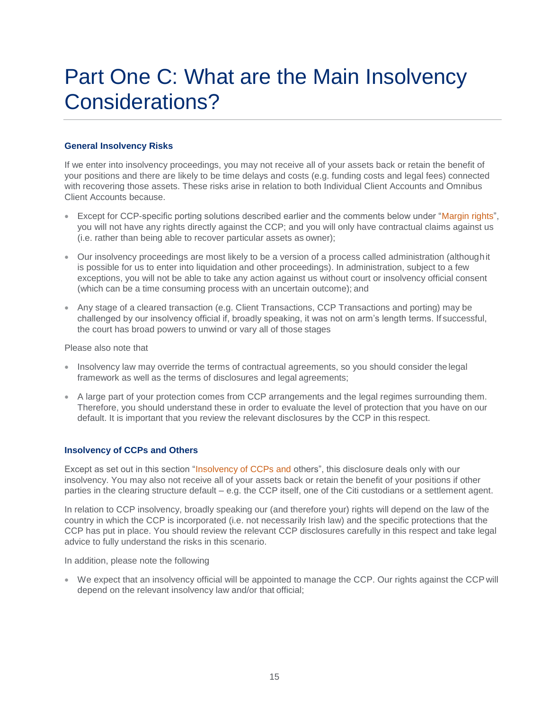# <span id="page-14-0"></span>Part One C: What are the Main Insolvency Considerations?

# **General Insolvency Risks**

If we enter into insolvency proceedings, you may not receive all of your assets back or retain the benefit of your positions and there are likely to be time delays and costs (e.g. funding costs and legal fees) connected with recovering those assets. These risks arise in relation to both Individual Client Accounts and Omnibus Client Accounts because.

- Except for CCP-specific porting solutions described earlier and the comments below under "Margin rights", you will not have any rights directly against the CCP; and you will only have contractual claims against us (i.e. rather than being able to recover particular assets as owner);
- Our insolvency proceedings are most likely to be a version of a process called administration (althoughit is possible for us to enter into liquidation and other proceedings). In administration, subject to a few exceptions, you will not be able to take any action against us without court or insolvency official consent (which can be a time consuming process with an uncertain outcome); and
- Any stage of a cleared transaction (e.g. Client Transactions, CCP Transactions and porting) may be challenged by our insolvency official if, broadly speaking, it was not on arm's length terms. If successful, the court has broad powers to unwind or vary all of those stages

Please also note that

- Insolvency law may override the terms of contractual agreements, so you should consider the legal framework as well as the terms of disclosures and legal agreements;
- A large part of your protection comes from CCP arrangements and the legal regimes surrounding them. Therefore, you should understand these in order to evaluate the level of protection that you have on our default. It is important that you review the relevant disclosures by the CCP in this respect.

# **Insolvency of CCPs and Others**

Except as set out in this section "Insolvency of CCPs and others", this disclosure deals only with our insolvency. You may also not receive all of your assets back or retain the benefit of your positions if other parties in the clearing structure default – e.g. the CCP itself, one of the Citi custodians or a settlement agent.

In relation to CCP insolvency, broadly speaking our (and therefore your) rights will depend on the law of the country in which the CCP is incorporated (i.e. not necessarily Irish law) and the specific protections that the CCP has put in place. You should review the relevant CCP disclosures carefully in this respect and take legal advice to fully understand the risks in this scenario.

In addition, please note the following

 We expect that an insolvency official will be appointed to manage the CCP. Our rights against the CCP will depend on the relevant insolvency law and/or that official;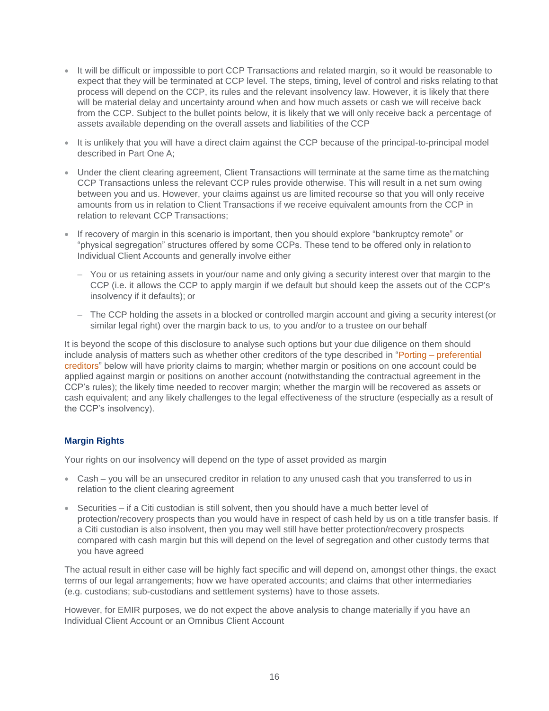- It will be difficult or impossible to port CCP Transactions and related margin, so it would be reasonable to expect that they will be terminated at CCP level. The steps, timing, level of control and risks relating to that process will depend on the CCP, its rules and the relevant insolvency law. However, it is likely that there will be material delay and uncertainty around when and how much assets or cash we will receive back from the CCP. Subject to the bullet points below, it is likely that we will only receive back a percentage of assets available depending on the overall assets and liabilities of the CCP
- It is unlikely that you will have a direct claim against the CCP because of the principal-to-principal model described in Part One A;
- Under the client clearing agreement, Client Transactions will terminate at the same time as the matching CCP Transactions unless the relevant CCP rules provide otherwise. This will result in a net sum owing between you and us. However, your claims against us are limited recourse so that you will only receive amounts from us in relation to Client Transactions if we receive equivalent amounts from the CCP in relation to relevant CCP Transactions;
- If recovery of margin in this scenario is important, then you should explore "bankruptcy remote" or "physical segregation" structures offered by some CCPs. These tend to be offered only in relation to Individual Client Accounts and generally involve either
	- You or us retaining assets in your/our name and only giving a security interest over that margin to the CCP (i.e. it allows the CCP to apply margin if we default but should keep the assets out of the CCP's insolvency if it defaults); or
	- The CCP holding the assets in a blocked or controlled margin account and giving a security interest (or similar legal right) over the margin back to us, to you and/or to a trustee on our behalf

It is beyond the scope of this disclosure to analyse such options but your due diligence on them should include analysis of matters such as whether other creditors of the type described in "Porting – preferential creditors" below will have priority claims to margin; whether margin or positions on one account could be applied against margin or positions on another account (notwithstanding the contractual agreement in the CCP's rules); the likely time needed to recover margin; whether the margin will be recovered as assets or cash equivalent; and any likely challenges to the legal effectiveness of the structure (especially as a result of the CCP's insolvency).

# **Margin Rights**

Your rights on our insolvency will depend on the type of asset provided as margin

- Cash you will be an unsecured creditor in relation to any unused cash that you transferred to us in relation to the client clearing agreement
- Securities if a Citi custodian is still solvent, then you should have a much better level of protection/recovery prospects than you would have in respect of cash held by us on a title transfer basis. If a Citi custodian is also insolvent, then you may well still have better protection/recovery prospects compared with cash margin but this will depend on the level of segregation and other custody terms that you have agreed

The actual result in either case will be highly fact specific and will depend on, amongst other things, the exact terms of our legal arrangements; how we have operated accounts; and claims that other intermediaries (e.g. custodians; sub-custodians and settlement systems) have to those assets.

However, for EMIR purposes, we do not expect the above analysis to change materially if you have an Individual Client Account or an Omnibus Client Account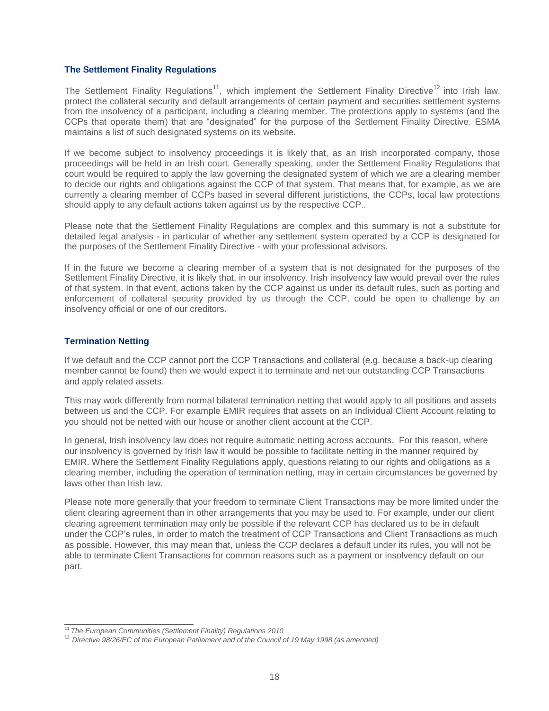# **The Settlement Finality Regulations**

The Settlement Finality Regulations<sup>11</sup>, which implement the Settlement Finality Directive<sup>12</sup> into Irish law, protect the collateral security and default arrangements of certain payment and securities settlement systems from the insolvency of a participant, including a clearing member. The protections apply to systems (and the CCPs that operate them) that are "designated" for the purpose of the Settlement Finality Directive. ESMA maintains a list of such designated systems on its website.

If we become subject to insolvency proceedings it is likely that, as an Irish incorporated company, those proceedings will be held in an Irish court. Generally speaking, under the Settlement Finality Regulations that court would be required to apply the law governing the designated system of which we are a clearing member to decide our rights and obligations against the CCP of that system. That means that, for example, as we are currently a clearing member of CCPs based in several different juristictions, the CCPs, local law protections should apply to any default actions taken against us by the respective CCP..

Please note that the Settlement Finality Regulations are complex and this summary is not a substitute for detailed legal analysis - in particular of whether any settlement system operated by a CCP is designated for the purposes of the Settlement Finality Directive - with your professional advisors.

If in the future we become a clearing member of a system that is not designated for the purposes of the Settlement Finality Directive, it is likely that, in our insolvency, Irish insolvency law would prevail over the rules of that system. In that event, actions taken by the CCP against us under its default rules, such as porting and enforcement of collateral security provided by us through the CCP, could be open to challenge by an insolvency official or one of our creditors.

# **Termination Netting**

If we default and the CCP cannot port the CCP Transactions and collateral (e.g. because a back-up clearing member cannot be found) then we would expect it to terminate and net our outstanding CCP Transactions and apply related assets.

This may work differently from normal bilateral termination netting that would apply to all positions and assets between us and the CCP. For example EMIR requires that assets on an Individual Client Account relating to you should not be netted with our house or another client account at the CCP.

In general, Irish insolvency law does not require automatic netting across accounts. For this reason, where our insolvency is governed by Irish law it would be possible to facilitate netting in the manner required by EMIR. Where the Settlement Finality Regulations apply, questions relating to our rights and obligations as a clearing member, including the operation of termination netting, may in certain circumstances be governed by laws other than Irish law.

Please note more generally that your freedom to terminate Client Transactions may be more limited under the client clearing agreement than in other arrangements that you may be used to. For example, under our client clearing agreement termination may only be possible if the relevant CCP has declared us to be in default under the CCP's rules, in order to match the treatment of CCP Transactions and Client Transactions as much as possible. However, this may mean that, unless the CCP declares a default under its rules, you will not be able to terminate Client Transactions for common reasons such as a payment or insolvency default on our part.

<sup>11</sup>*The European Communities (Settlement Finality) Regulations 2010*

<sup>12</sup>*Directive 98/26/EC of the European Parliament and of the Council of 19 May 1998 (as amended)*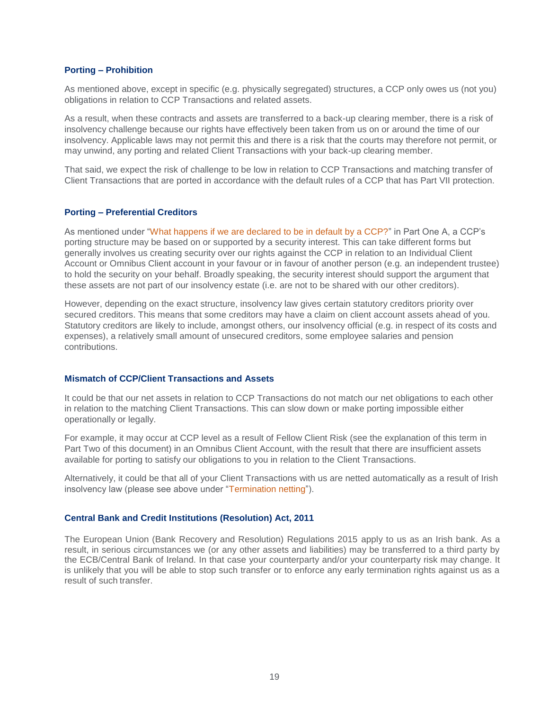#### **Porting – Prohibition**

As mentioned above, except in specific (e.g. physically segregated) structures, a CCP only owes us (not you) obligations in relation to CCP Transactions and related assets.

As a result, when these contracts and assets are transferred to a back-up clearing member, there is a risk of insolvency challenge because our rights have effectively been taken from us on or around the time of our insolvency. Applicable laws may not permit this and there is a risk that the courts may therefore not permit, or may unwind, any porting and related Client Transactions with your back-up clearing member.

That said, we expect the risk of challenge to be low in relation to CCP Transactions and matching transfer of Client Transactions that are ported in accordance with the default rules of a CCP that has Part VII protection.

#### **Porting – Preferential Creditors**

As mentioned under "What happens if we are declared to be in default by a CCP?" in Part One A, a CCP's porting structure may be based on or supported by a security interest. This can take different forms but generally involves us creating security over our rights against the CCP in relation to an Individual Client Account or Omnibus Client account in your favour or in favour of another person (e.g. an independent trustee) to hold the security on your behalf. Broadly speaking, the security interest should support the argument that these assets are not part of our insolvency estate (i.e. are not to be shared with our other creditors).

However, depending on the exact structure, insolvency law gives certain statutory creditors priority over secured creditors. This means that some creditors may have a claim on client account assets ahead of you. Statutory creditors are likely to include, amongst others, our insolvency official (e.g. in respect of its costs and expenses), a relatively small amount of unsecured creditors, some employee salaries and pension contributions.

# **Mismatch of CCP/Client Transactions and Assets**

It could be that our net assets in relation to CCP Transactions do not match our net obligations to each other in relation to the matching Client Transactions. This can slow down or make porting impossible either operationally or legally.

For example, it may occur at CCP level as a result of Fellow Client Risk (see the explanation of this term in Part Two of this document) in an Omnibus Client Account, with the result that there are insufficient assets available for porting to satisfy our obligations to you in relation to the Client Transactions.

Alternatively, it could be that all of your Client Transactions with us are netted automatically as a result of Irish insolvency law (please see above under "Termination netting").

#### **Central Bank and Credit Institutions (Resolution) Act, 2011**

The European Union (Bank Recovery and Resolution) Regulations 2015 apply to us as an Irish bank. As a result, in serious circumstances we (or any other assets and liabilities) may be transferred to a third party by the ECB/Central Bank of Ireland. In that case your counterparty and/or your counterparty risk may change. It is unlikely that you will be able to stop such transfer or to enforce any early termination rights against us as a result of such transfer.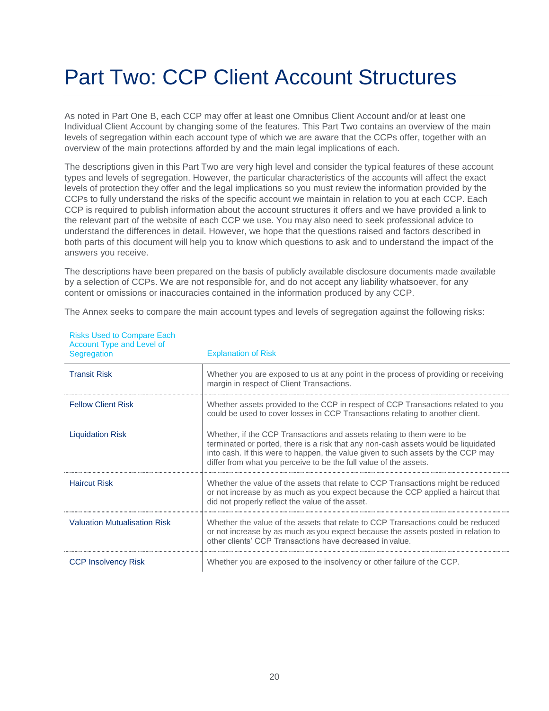# <span id="page-18-0"></span>Part Two: CCP Client Account Structures

As noted in Part One B, each CCP may offer at least one Omnibus Client Account and/or at least one Individual Client Account by changing some of the features. This Part Two contains an overview of the main levels of segregation within each account type of which we are aware that the CCPs offer, together with an overview of the main protections afforded by and the main legal implications of each.

The descriptions given in this Part Two are very high level and consider the typical features of these account types and levels of segregation. However, the particular characteristics of the accounts will affect the exact levels of protection they offer and the legal implications so you must review the information provided by the CCPs to fully understand the risks of the specific account we maintain in relation to you at each CCP. Each CCP is required to publish information about the account structures it offers and we have provided a link to the relevant part of the website of each CCP we use. You may also need to seek professional advice to understand the differences in detail. However, we hope that the questions raised and factors described in both parts of this document will help you to know which questions to ask and to understand the impact of the answers you receive.

The descriptions have been prepared on the basis of publicly available disclosure documents made available by a selection of CCPs. We are not responsible for, and do not accept any liability whatsoever, for any content or omissions or inaccuracies contained in the information produced by any CCP.

The Annex seeks to compare the main account types and levels of segregation against the following risks:

| Account Type and Level of<br>Segregation | <b>Explanation of Risk</b>                                                                                                                                                                                                                                                                                             |
|------------------------------------------|------------------------------------------------------------------------------------------------------------------------------------------------------------------------------------------------------------------------------------------------------------------------------------------------------------------------|
| <b>Transit Risk</b>                      | Whether you are exposed to us at any point in the process of providing or receiving<br>margin in respect of Client Transactions.                                                                                                                                                                                       |
| <b>Fellow Client Risk</b>                | Whether assets provided to the CCP in respect of CCP Transactions related to you<br>could be used to cover losses in CCP Transactions relating to another client.                                                                                                                                                      |
| <b>Liquidation Risk</b>                  | Whether, if the CCP Transactions and assets relating to them were to be<br>terminated or ported, there is a risk that any non-cash assets would be liquidated<br>into cash. If this were to happen, the value given to such assets by the CCP may<br>differ from what you perceive to be the full value of the assets. |
| <b>Haircut Risk</b>                      | Whether the value of the assets that relate to CCP Transactions might be reduced<br>or not increase by as much as you expect because the CCP applied a haircut that<br>did not properly reflect the value of the asset.                                                                                                |
| <b>Valuation Mutualisation Risk</b>      | Whether the value of the assets that relate to CCP Transactions could be reduced<br>or not increase by as much as you expect because the assets posted in relation to<br>other clients' CCP Transactions have decreased in value.                                                                                      |
| <b>CCP Insolvency Risk</b>               | Whether you are exposed to the insolvency or other failure of the CCP.                                                                                                                                                                                                                                                 |

Risks Used to Compare Each Account Type and Level of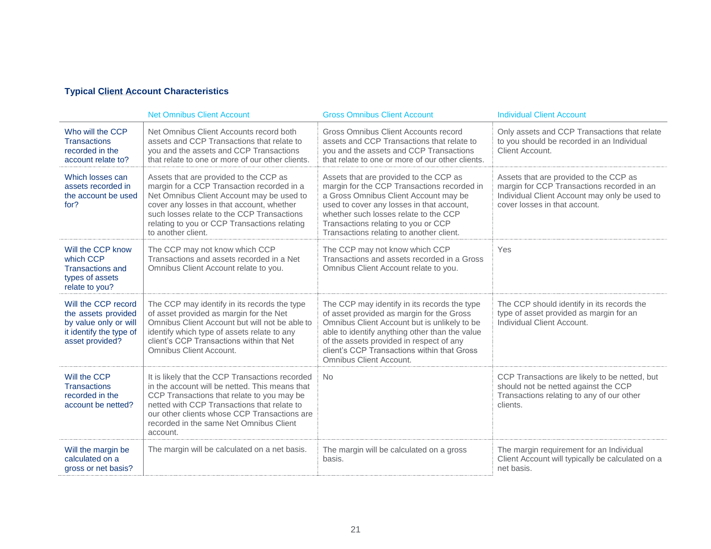# **Typical Client Account Characteristics**

|                                                                                                                   | <b>Net Omnibus Client Account</b>                                                                                                                                                                                                                                                                     | <b>Gross Omnibus Client Account</b>                                                                                                                                                                                                                                                                               | <b>Individual Client Account</b>                                                                                                                                       |
|-------------------------------------------------------------------------------------------------------------------|-------------------------------------------------------------------------------------------------------------------------------------------------------------------------------------------------------------------------------------------------------------------------------------------------------|-------------------------------------------------------------------------------------------------------------------------------------------------------------------------------------------------------------------------------------------------------------------------------------------------------------------|------------------------------------------------------------------------------------------------------------------------------------------------------------------------|
| Who will the CCP<br><b>Transactions</b><br>recorded in the<br>account relate to?                                  | Net Omnibus Client Accounts record both<br>assets and CCP Transactions that relate to<br>you and the assets and CCP Transactions<br>that relate to one or more of our other clients.                                                                                                                  | Gross Omnibus Client Accounts record<br>assets and CCP Transactions that relate to<br>you and the assets and CCP Transactions<br>that relate to one or more of our other clients.                                                                                                                                 | Only assets and CCP Transactions that relate<br>to you should be recorded in an Individual<br>Client Account.                                                          |
| Which losses can<br>assets recorded in<br>the account be used<br>for?                                             | Assets that are provided to the CCP as<br>margin for a CCP Transaction recorded in a<br>Net Omnibus Client Account may be used to<br>cover any losses in that account, whether<br>such losses relate to the CCP Transactions<br>relating to you or CCP Transactions relating<br>to another client.    | Assets that are provided to the CCP as<br>margin for the CCP Transactions recorded in<br>a Gross Omnibus Client Account may be<br>used to cover any losses in that account,<br>whether such losses relate to the CCP<br>Transactions relating to you or CCP<br>Transactions relating to another client.           | Assets that are provided to the CCP as<br>margin for CCP Transactions recorded in an<br>Individual Client Account may only be used to<br>cover losses in that account. |
| Will the CCP know<br>which CCP<br><b>Transactions and</b><br>types of assets<br>relate to you?                    | The CCP may not know which CCP<br>Transactions and assets recorded in a Net<br>Omnibus Client Account relate to you.                                                                                                                                                                                  | The CCP may not know which CCP<br>Transactions and assets recorded in a Gross<br>Omnibus Client Account relate to you.                                                                                                                                                                                            | Yes                                                                                                                                                                    |
| Will the CCP record<br>the assets provided<br>by value only or will<br>it identify the type of<br>asset provided? | The CCP may identify in its records the type<br>of asset provided as margin for the Net<br>Omnibus Client Account but will not be able to<br>identify which type of assets relate to any<br>client's CCP Transactions within that Net<br>Omnibus Client Account.                                      | The CCP may identify in its records the type<br>of asset provided as margin for the Gross<br>Omnibus Client Account but is unlikely to be<br>able to identify anything other than the value<br>of the assets provided in respect of any<br>client's CCP Transactions within that Gross<br>Omnibus Client Account. | The CCP should identify in its records the<br>type of asset provided as margin for an<br>Individual Client Account.                                                    |
| Will the CCP<br><b>Transactions</b><br>recorded in the<br>account be netted?                                      | It is likely that the CCP Transactions recorded<br>in the account will be netted. This means that<br>CCP Transactions that relate to you may be<br>netted with CCP Transactions that relate to<br>our other clients whose CCP Transactions are<br>recorded in the same Net Omnibus Client<br>account. | <b>No</b>                                                                                                                                                                                                                                                                                                         | CCP Transactions are likely to be netted, but<br>should not be netted against the CCP<br>Transactions relating to any of our other<br>clients.                         |
| Will the margin be<br>calculated on a<br>gross or net basis?                                                      | The margin will be calculated on a net basis.                                                                                                                                                                                                                                                         | The margin will be calculated on a gross<br>basis.                                                                                                                                                                                                                                                                | The margin requirement for an Individual<br>Client Account will typically be calculated on a<br>net basis.                                                             |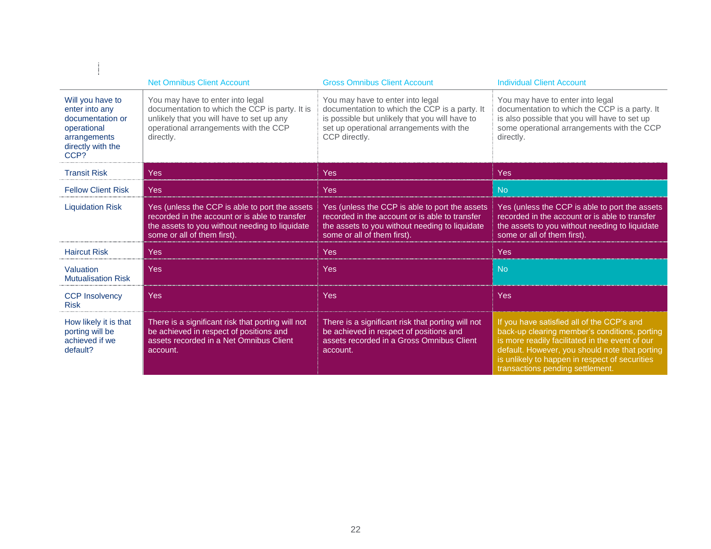|                                                                                                                    | <b>Net Omnibus Client Account</b>                                                                                                                                                     | <b>Gross Omnibus Client Account</b>                                                                                                                                                              | <b>Individual Client Account</b>                                                                                                                                                                                                                                                       |
|--------------------------------------------------------------------------------------------------------------------|---------------------------------------------------------------------------------------------------------------------------------------------------------------------------------------|--------------------------------------------------------------------------------------------------------------------------------------------------------------------------------------------------|----------------------------------------------------------------------------------------------------------------------------------------------------------------------------------------------------------------------------------------------------------------------------------------|
| Will you have to<br>enter into any<br>documentation or<br>operational<br>arrangements<br>directly with the<br>CCP? | You may have to enter into legal<br>documentation to which the CCP is party. It is<br>unlikely that you will have to set up any<br>operational arrangements with the CCP<br>directly. | You may have to enter into legal<br>documentation to which the CCP is a party. It<br>is possible but unlikely that you will have to<br>set up operational arrangements with the<br>CCP directly. | You may have to enter into legal<br>documentation to which the CCP is a party. It<br>is also possible that you will have to set up<br>some operational arrangements with the CCP<br>directly.                                                                                          |
| <b>Transit Risk</b>                                                                                                | <b>Yes</b>                                                                                                                                                                            | <b>Yes</b>                                                                                                                                                                                       | Yes                                                                                                                                                                                                                                                                                    |
| <b>Fellow Client Risk</b>                                                                                          | <b>Yes</b>                                                                                                                                                                            | <b>Yes</b>                                                                                                                                                                                       | <b>No</b>                                                                                                                                                                                                                                                                              |
| <b>Liquidation Risk</b>                                                                                            | Yes (unless the CCP is able to port the assets<br>recorded in the account or is able to transfer<br>the assets to you without needing to liquidate<br>some or all of them first).     | Yes (unless the CCP is able to port the assets<br>recorded in the account or is able to transfer<br>the assets to you without needing to liquidate<br>some or all of them first).                | Yes (unless the CCP is able to port the assets<br>recorded in the account or is able to transfer<br>the assets to you without needing to liquidate<br>some or all of them first).                                                                                                      |
| <b>Haircut Risk</b>                                                                                                | <b>Yes</b>                                                                                                                                                                            | <b>Yes</b>                                                                                                                                                                                       | <b>Yes</b>                                                                                                                                                                                                                                                                             |
| Valuation<br><b>Mutualisation Risk</b>                                                                             | <b>Yes</b>                                                                                                                                                                            | <b>Yes</b>                                                                                                                                                                                       | <b>No</b>                                                                                                                                                                                                                                                                              |
| <b>CCP Insolvency</b><br><b>Risk</b>                                                                               | <b>Yes</b>                                                                                                                                                                            | <b>Yes</b>                                                                                                                                                                                       | <b>Yes</b>                                                                                                                                                                                                                                                                             |
| How likely it is that<br>porting will be<br>achieved if we<br>default?                                             | There is a significant risk that porting will not<br>be achieved in respect of positions and<br>assets recorded in a Net Omnibus Client<br>account.                                   | There is a significant risk that porting will not<br>be achieved in respect of positions and<br>assets recorded in a Gross Omnibus Client<br>account.                                            | If you have satisfied all of the CCP's and<br>back-up clearing member's conditions, porting<br>is more readily facilitated in the event of our<br>default. However, you should note that porting<br>is unlikely to happen in respect of securities<br>transactions pending settlement. |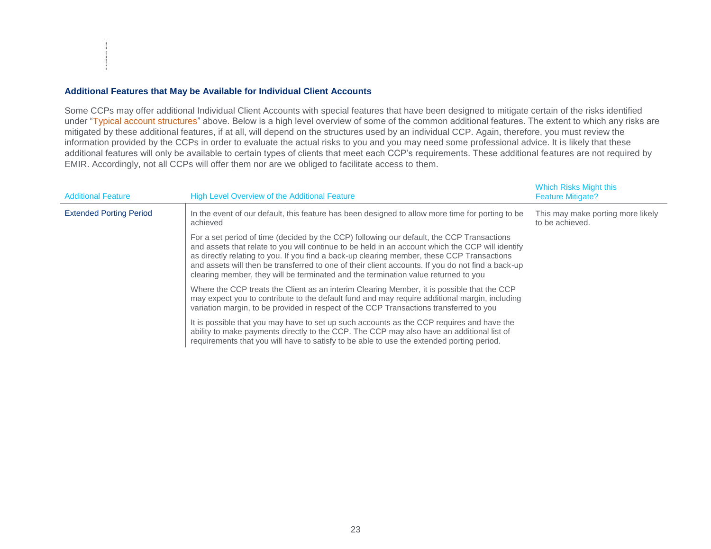# **Additional Features that May be Available for Individual Client Accounts**

Some CCPs may offer additional Individual Client Accounts with special features that have been designed to mitigate certain of the risks identified under "Typical account structures" above. Below is a high level overview of some of the common additional features. The extent to which any risks are mitigated by these additional features, if at all, will depend on the structures used by an individual CCP. Again, therefore, you must review the information provided by the CCPs in order to evaluate the actual risks to you and you may need some professional advice. It is likely that these additional features will only be available to certain types of clients that meet each CCP's requirements. These additional features are not required by EMIR. Accordingly, not all CCPs will offer them nor are we obliged to facilitate access to them.

| <b>Additional Feature</b>      | High Level Overview of the Additional Feature                                                                                                                                                                                                                                                                                                                                                                                                                                          | <b>Which Risks Might this</b><br><b>Feature Mitigate?</b> |
|--------------------------------|----------------------------------------------------------------------------------------------------------------------------------------------------------------------------------------------------------------------------------------------------------------------------------------------------------------------------------------------------------------------------------------------------------------------------------------------------------------------------------------|-----------------------------------------------------------|
| <b>Extended Porting Period</b> | In the event of our default, this feature has been designed to allow more time for porting to be<br>achieved                                                                                                                                                                                                                                                                                                                                                                           | This may make porting more likely<br>to be achieved.      |
|                                | For a set period of time (decided by the CCP) following our default, the CCP Transactions<br>and assets that relate to you will continue to be held in an account which the CCP will identify<br>as directly relating to you. If you find a back-up clearing member, these CCP Transactions<br>and assets will then be transferred to one of their client accounts. If you do not find a back-up<br>clearing member, they will be terminated and the termination value returned to you |                                                           |
|                                | Where the CCP treats the Client as an interim Clearing Member, it is possible that the CCP<br>may expect you to contribute to the default fund and may require additional margin, including<br>variation margin, to be provided in respect of the CCP Transactions transferred to you                                                                                                                                                                                                  |                                                           |
|                                | It is possible that you may have to set up such accounts as the CCP requires and have the<br>ability to make payments directly to the CCP. The CCP may also have an additional list of<br>requirements that you will have to satisfy to be able to use the extended porting period.                                                                                                                                                                                                    |                                                           |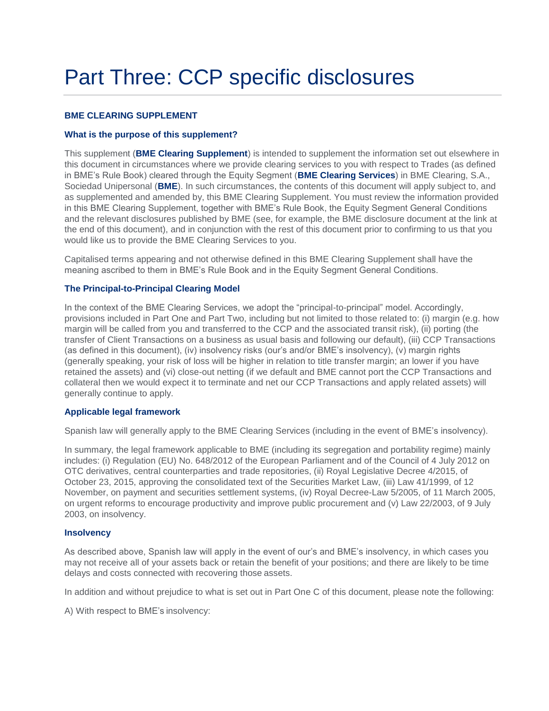# <span id="page-22-0"></span>Part Three: CCP specific disclosures

# **BME CLEARING SUPPLEMENT**

# **What is the purpose of this supplement?**

This supplement (**BME Clearing Supplement**) is intended to supplement the information set out elsewhere in this document in circumstances where we provide clearing services to you with respect to Trades (as defined in BME's Rule Book) cleared through the Equity Segment (**BME Clearing Services**) in BME Clearing, S.A., Sociedad Unipersonal (**BME**). In such circumstances, the contents of this document will apply subject to, and as supplemented and amended by, this BME Clearing Supplement. You must review the information provided in this BME Clearing Supplement, together with BME's Rule Book, the Equity Segment General Conditions and the relevant disclosures published by BME (see, for example, the BME disclosure document at the link at the end of this document), and in conjunction with the rest of this document prior to confirming to us that you would like us to provide the BME Clearing Services to you.

Capitalised terms appearing and not otherwise defined in this BME Clearing Supplement shall have the meaning ascribed to them in BME's Rule Book and in the Equity Segment General Conditions.

# **The Principal-to-Principal Clearing Model**

In the context of the BME Clearing Services, we adopt the "principal-to-principal" model. Accordingly, provisions included in Part One and Part Two, including but not limited to those related to: (i) margin (e.g. how margin will be called from you and transferred to the CCP and the associated transit risk), (ii) porting (the transfer of Client Transactions on a business as usual basis and following our default), (iii) CCP Transactions (as defined in this document), (iv) insolvency risks (our's and/or BME's insolvency), (v) margin rights (generally speaking, your risk of loss will be higher in relation to title transfer margin; an lower if you have retained the assets) and (vi) close-out netting (if we default and BME cannot port the CCP Transactions and collateral then we would expect it to terminate and net our CCP Transactions and apply related assets) will generally continue to apply.

# **Applicable legal framework**

Spanish law will generally apply to the BME Clearing Services (including in the event of BME's insolvency).

In summary, the legal framework applicable to BME (including its segregation and portability regime) mainly includes: (i) Regulation (EU) No. 648/2012 of the European Parliament and of the Council of 4 July 2012 on OTC derivatives, central counterparties and trade repositories, (ii) Royal Legislative Decree 4/2015, of October 23, 2015, approving the consolidated text of the Securities Market Law, (iii) Law 41/1999, of 12 November, on payment and securities settlement systems, (iv) Royal Decree-Law 5/2005, of 11 March 2005, on urgent reforms to encourage productivity and improve public procurement and (v) Law 22/2003, of 9 July 2003, on insolvency.

# **Insolvency**

As described above, Spanish law will apply in the event of our's and BME's insolvency, in which cases you may not receive all of your assets back or retain the benefit of your positions; and there are likely to be time delays and costs connected with recovering those assets.

In addition and without prejudice to what is set out in Part One C of this document, please note the following:

A) With respect to BME's insolvency: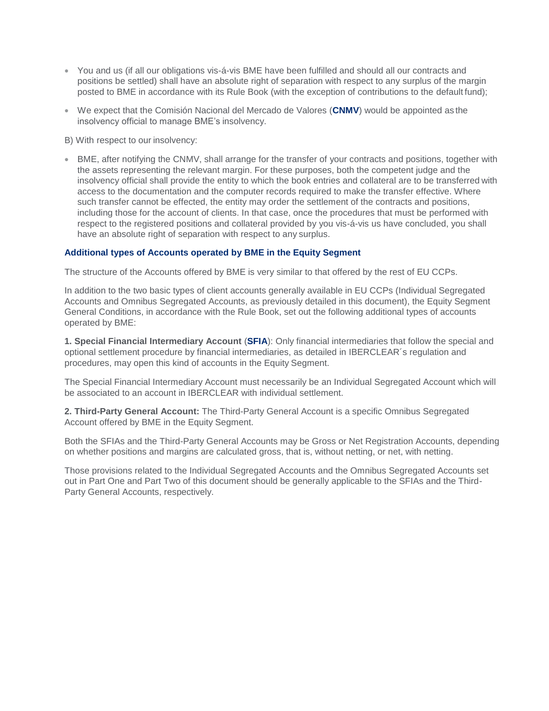- You and us (if all our obligations vis-á-vis BME have been fulfilled and should all our contracts and positions be settled) shall have an absolute right of separation with respect to any surplus of the margin posted to BME in accordance with its Rule Book (with the exception of contributions to the default fund);
- We expect that the Comisión Nacional del Mercado de Valores (**CNMV**) would be appointed as the insolvency official to manage BME's insolvency.
- B) With respect to our insolvency:
- BME, after notifying the CNMV, shall arrange for the transfer of your contracts and positions, together with the assets representing the relevant margin. For these purposes, both the competent judge and the insolvency official shall provide the entity to which the book entries and collateral are to be transferred with access to the documentation and the computer records required to make the transfer effective. Where such transfer cannot be effected, the entity may order the settlement of the contracts and positions, including those for the account of clients. In that case, once the procedures that must be performed with respect to the registered positions and collateral provided by you vis-á-vis us have concluded, you shall have an absolute right of separation with respect to any surplus.

# **Additional types of Accounts operated by BME in the Equity Segment**

The structure of the Accounts offered by BME is very similar to that offered by the rest of EU CCPs.

In addition to the two basic types of client accounts generally available in EU CCPs (Individual Segregated Accounts and Omnibus Segregated Accounts, as previously detailed in this document), the Equity Segment General Conditions, in accordance with the Rule Book, set out the following additional types of accounts operated by BME:

**1. Special Financial Intermediary Account** (**SFIA**): Only financial intermediaries that follow the special and optional settlement procedure by financial intermediaries, as detailed in IBERCLEAR´s regulation and procedures, may open this kind of accounts in the Equity Segment.

The Special Financial Intermediary Account must necessarily be an Individual Segregated Account which will be associated to an account in IBERCLEAR with individual settlement.

**2. Third-Party General Account:** The Third-Party General Account is a specific Omnibus Segregated Account offered by BME in the Equity Segment.

Both the SFIAs and the Third-Party General Accounts may be Gross or Net Registration Accounts, depending on whether positions and margins are calculated gross, that is, without netting, or net, with netting.

Those provisions related to the Individual Segregated Accounts and the Omnibus Segregated Accounts set out in Part One and Part Two of this document should be generally applicable to the SFIAs and the Third-Party General Accounts, respectively.